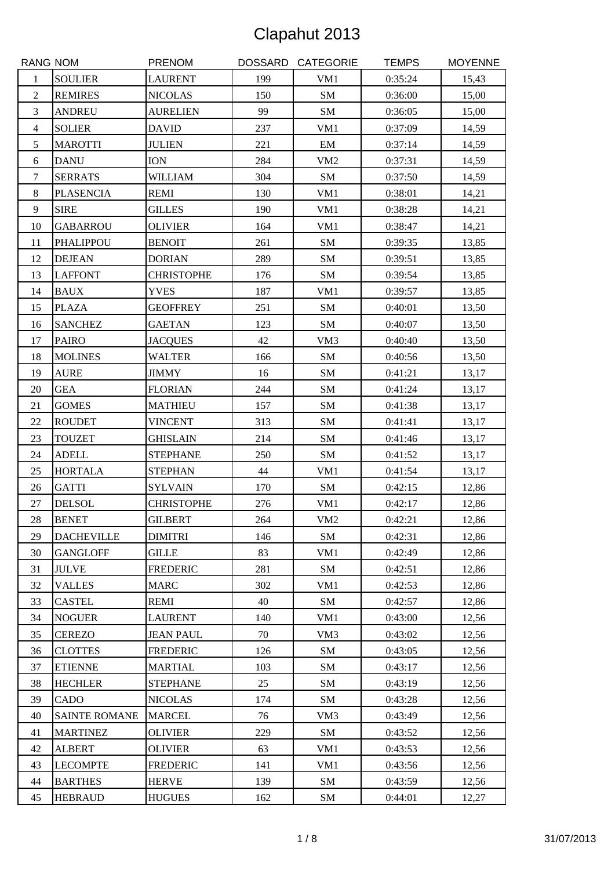| <b>RANG NOM</b> |                      | <b>PRENOM</b>     |     | DOSSARD CATEGORIE | <b>TEMPS</b> | <b>MOYENNE</b> |
|-----------------|----------------------|-------------------|-----|-------------------|--------------|----------------|
| 1               | <b>SOULIER</b>       | <b>LAURENT</b>    | 199 | VM1               | 0:35:24      | 15,43          |
| $\overline{c}$  | <b>REMIRES</b>       | <b>NICOLAS</b>    | 150 | SM                | 0:36:00      | 15,00          |
| 3               | <b>ANDREU</b>        | <b>AURELIEN</b>   | 99  | SM                | 0:36:05      | 15,00          |
| $\overline{4}$  | <b>SOLIER</b>        | <b>DAVID</b>      | 237 | VM1               | 0:37:09      | 14,59          |
| 5               | <b>MAROTTI</b>       | <b>JULIEN</b>     | 221 | EM                | 0:37:14      | 14,59          |
| 6               | <b>DANU</b>          | <b>ION</b>        | 284 | VM <sub>2</sub>   | 0:37:31      | 14,59          |
| $\tau$          | <b>SERRATS</b>       | <b>WILLIAM</b>    | 304 | SM                | 0:37:50      | 14,59          |
| $8\,$           | <b>PLASENCIA</b>     | <b>REMI</b>       | 130 | VM1               | 0:38:01      | 14,21          |
| $\overline{9}$  | <b>SIRE</b>          | <b>GILLES</b>     | 190 | VM1               | 0:38:28      | 14,21          |
| 10              | <b>GABARROU</b>      | <b>OLIVIER</b>    | 164 | VM1               | 0:38:47      | 14,21          |
| 11              | PHALIPPOU            | <b>BENOIT</b>     | 261 | SM                | 0:39:35      | 13,85          |
| 12              | <b>DEJEAN</b>        | <b>DORIAN</b>     | 289 | SM                | 0:39:51      | 13,85          |
| 13              | <b>LAFFONT</b>       | <b>CHRISTOPHE</b> | 176 | SM                | 0:39:54      | 13,85          |
| 14              | <b>BAUX</b>          | <b>YVES</b>       | 187 | VM1               | 0:39:57      | 13,85          |
| 15              | <b>PLAZA</b>         | <b>GEOFFREY</b>   | 251 | <b>SM</b>         | 0:40:01      | 13,50          |
| 16              | <b>SANCHEZ</b>       | <b>GAETAN</b>     | 123 | SM                | 0:40:07      | 13,50          |
| 17              | <b>PAIRO</b>         | <b>JACQUES</b>    | 42  | VM3               | 0:40:40      | 13,50          |
| 18              | <b>MOLINES</b>       | <b>WALTER</b>     | 166 | SM                | 0:40:56      | 13,50          |
| 19              | <b>AURE</b>          | <b>JIMMY</b>      | 16  | SM                | 0:41:21      | 13,17          |
| 20              | <b>GEA</b>           | <b>FLORIAN</b>    | 244 | <b>SM</b>         | 0:41:24      | 13,17          |
| 21              | <b>GOMES</b>         | <b>MATHIEU</b>    | 157 | SM                | 0:41:38      | 13,17          |
| 22              | <b>ROUDET</b>        | <b>VINCENT</b>    | 313 | SM                | 0:41:41      | 13,17          |
| 23              | <b>TOUZET</b>        | <b>GHISLAIN</b>   | 214 | ${\rm SM}$        | 0:41:46      | 13,17          |
| 24              | <b>ADELL</b>         | <b>STEPHANE</b>   | 250 | SM                | 0:41:52      | 13,17          |
| 25              | <b>HORTALA</b>       | <b>STEPHAN</b>    | 44  | VM1               | 0:41:54      | 13,17          |
| 26              | <b>GATTI</b>         | <b>SYLVAIN</b>    | 170 | ${\bf SM}$        | 0:42:15      | 12,86          |
| $27\,$          | <b>DELSOL</b>        | <b>CHRISTOPHE</b> | 276 | VM1               | 0:42:17      | 12,86          |
| $28\,$          | <b>BENET</b>         | <b>GILBERT</b>    | 264 | VM2               | 0:42:21      | 12,86          |
| 29              | <b>DACHEVILLE</b>    | <b>DIMITRI</b>    | 146 | SM                | 0:42:31      | 12,86          |
| 30              | <b>GANGLOFF</b>      | <b>GILLE</b>      | 83  | VM1               | 0:42:49      | 12,86          |
| 31              | <b>JULVE</b>         | <b>FREDERIC</b>   | 281 | SM                | 0:42:51      | 12,86          |
| 32              | <b>VALLES</b>        | <b>MARC</b>       | 302 | VM1               | 0:42:53      | 12,86          |
| 33              | <b>CASTEL</b>        | <b>REMI</b>       | 40  | SM                | 0:42:57      | 12,86          |
| 34              | <b>NOGUER</b>        | <b>LAURENT</b>    | 140 | VM1               | 0:43:00      | 12,56          |
| 35              | <b>CEREZO</b>        | <b>JEAN PAUL</b>  | 70  | VM <sub>3</sub>   | 0:43:02      | 12,56          |
| 36              | <b>CLOTTES</b>       | <b>FREDERIC</b>   | 126 | SM                | 0:43:05      | 12,56          |
| 37              | <b>ETIENNE</b>       | <b>MARTIAL</b>    | 103 | SM                | 0:43:17      | 12,56          |
| 38              | <b>HECHLER</b>       | <b>STEPHANE</b>   | 25  | SM                | 0:43:19      | 12,56          |
| 39              | CADO                 | <b>NICOLAS</b>    | 174 | SM                | 0:43:28      | 12,56          |
| 40              | <b>SAINTE ROMANE</b> | <b>MARCEL</b>     | 76  | VM3               | 0:43:49      | 12,56          |
| 41              | <b>MARTINEZ</b>      | <b>OLIVIER</b>    | 229 | SM                | 0:43:52      | 12,56          |
| 42              | <b>ALBERT</b>        | <b>OLIVIER</b>    | 63  | VM1               | 0:43:53      | 12,56          |
| 43              | <b>LECOMPTE</b>      | <b>FREDERIC</b>   | 141 | VM1               | 0:43:56      | 12,56          |
| 44              | <b>BARTHES</b>       | <b>HERVE</b>      | 139 | SM                | 0:43:59      | 12,56          |
| 45              | <b>HEBRAUD</b>       | <b>HUGUES</b>     | 162 | SM                | 0:44:01      | 12,27          |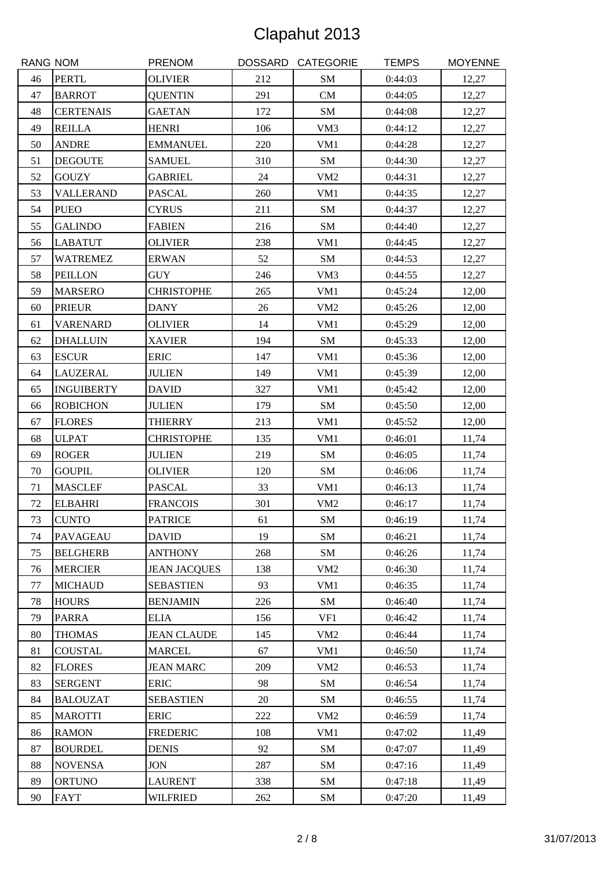| RANG NOM |                   | <b>PRENOM</b>       |        | DOSSARD CATEGORIE | <b>TEMPS</b> | <b>MOYENNE</b> |
|----------|-------------------|---------------------|--------|-------------------|--------------|----------------|
| 46       | <b>PERTL</b>      | <b>OLIVIER</b>      | 212    | SM                | 0:44:03      | 12,27          |
| 47       | <b>BARROT</b>     | <b>QUENTIN</b>      | 291    | CM                | 0:44:05      | 12,27          |
| 48       | <b>CERTENAIS</b>  | <b>GAETAN</b>       | 172    | SM                | 0:44:08      | 12,27          |
| 49       | <b>REILLA</b>     | <b>HENRI</b>        | 106    | VM3               | 0:44:12      | 12,27          |
| 50       | <b>ANDRE</b>      | <b>EMMANUEL</b>     | 220    | VM1               | 0:44:28      | 12,27          |
| 51       | <b>DEGOUTE</b>    | <b>SAMUEL</b>       | 310    | SM                | 0:44:30      | 12,27          |
| 52       | <b>GOUZY</b>      | <b>GABRIEL</b>      | 24     | VM <sub>2</sub>   | 0:44:31      | 12,27          |
| 53       | <b>VALLERAND</b>  | <b>PASCAL</b>       | 260    | VM1               | 0:44:35      | 12,27          |
| 54       | <b>PUEO</b>       | <b>CYRUS</b>        | 211    | ${\bf SM}$        | 0:44:37      | 12,27          |
| 55       | <b>GALINDO</b>    | <b>FABIEN</b>       | 216    | ${\bf SM}$        | 0:44:40      | 12,27          |
| 56       | <b>LABATUT</b>    | <b>OLIVIER</b>      | 238    | VM1               | 0:44:45      | 12,27          |
| 57       | <b>WATREMEZ</b>   | <b>ERWAN</b>        | 52     | SM                | 0:44:53      | 12,27          |
| 58       | <b>PEILLON</b>    | <b>GUY</b>          | 246    | VM3               | 0:44:55      | 12,27          |
| 59       | <b>MARSERO</b>    | <b>CHRISTOPHE</b>   | 265    | VM1               | 0:45:24      | 12,00          |
| 60       | <b>PRIEUR</b>     | <b>DANY</b>         | 26     | VM <sub>2</sub>   | 0:45:26      | 12,00          |
| 61       | <b>VARENARD</b>   | <b>OLIVIER</b>      | 14     | VM1               | 0:45:29      | 12,00          |
| 62       | <b>DHALLUIN</b>   | <b>XAVIER</b>       | 194    | SM                | 0:45:33      | 12,00          |
| 63       | <b>ESCUR</b>      | <b>ERIC</b>         | 147    | VM1               | 0:45:36      | 12,00          |
| 64       | <b>LAUZERAL</b>   | <b>JULIEN</b>       | 149    | VM1               | 0:45:39      | 12,00          |
| 65       | <b>INGUIBERTY</b> | <b>DAVID</b>        | 327    | VM1               | 0:45:42      | 12,00          |
| 66       | <b>ROBICHON</b>   | <b>JULIEN</b>       | 179    | SM                | 0:45:50      | 12,00          |
| 67       | <b>FLORES</b>     | <b>THIERRY</b>      | 213    | VM1               | 0:45:52      | 12,00          |
| 68       | <b>ULPAT</b>      | <b>CHRISTOPHE</b>   | 135    | VM1               | 0:46:01      | 11,74          |
| 69       | <b>ROGER</b>      | <b>JULIEN</b>       | 219    | SM                | 0:46:05      | 11,74          |
| 70       | <b>GOUPIL</b>     | <b>OLIVIER</b>      | 120    | ${\bf SM}$        | 0:46:06      | 11,74          |
| 71       | <b>MASCLEF</b>    | <b>PASCAL</b>       | 33     | VM1               | 0:46:13      | 11,74          |
| 72       | <b>ELBAHRI</b>    | <b>FRANCOIS</b>     | 301    | VM <sub>2</sub>   | 0:46:17      | 11,74          |
| 73       | <b>CUNTO</b>      | <b>PATRICE</b>      | 61     | SM                | 0:46:19      | 11,74          |
| 74       | <b>PAVAGEAU</b>   | <b>DAVID</b>        | 19     | SM                | 0:46:21      | 11,74          |
| 75       | <b>BELGHERB</b>   | <b>ANTHONY</b>      | 268    | SM                | 0:46:26      | 11,74          |
| 76       | <b>MERCIER</b>    | <b>JEAN JACQUES</b> | 138    | VM <sub>2</sub>   | 0:46:30      | 11,74          |
| 77       | <b>MICHAUD</b>    | <b>SEBASTIEN</b>    | 93     | VM1               | 0:46:35      | 11,74          |
| 78       | <b>HOURS</b>      | <b>BENJAMIN</b>     | 226    | SM                | 0:46:40      | 11,74          |
| 79       | <b>PARRA</b>      | <b>ELIA</b>         | 156    | VF1               | 0:46:42      | 11,74          |
| 80       | <b>THOMAS</b>     | <b>JEAN CLAUDE</b>  | 145    | VM <sub>2</sub>   | 0:46:44      | 11,74          |
| 81       | <b>COUSTAL</b>    | <b>MARCEL</b>       | 67     | VM1               | 0:46:50      | 11,74          |
| 82       | <b>FLORES</b>     | <b>JEAN MARC</b>    | 209    | VM <sub>2</sub>   | 0:46:53      | 11,74          |
| 83       | <b>SERGENT</b>    | <b>ERIC</b>         | 98     | SM                | 0:46:54      | 11,74          |
| 84       | <b>BALOUZAT</b>   | <b>SEBASTIEN</b>    | $20\,$ | SM                | 0:46:55      | 11,74          |
| 85       | <b>MAROTTI</b>    | <b>ERIC</b>         | 222    | VM <sub>2</sub>   | 0:46:59      | 11,74          |
| 86       | <b>RAMON</b>      | <b>FREDERIC</b>     | 108    | VM1               | 0:47:02      | 11,49          |
| 87       | <b>BOURDEL</b>    | <b>DENIS</b>        | 92     | SM                | 0:47:07      | 11,49          |
| 88       | <b>NOVENSA</b>    | <b>JON</b>          | 287    | SM                | 0:47:16      | 11,49          |
| 89       | <b>ORTUNO</b>     | <b>LAURENT</b>      | 338    | SM                | 0:47:18      | 11,49          |
| 90       | <b>FAYT</b>       | <b>WILFRIED</b>     | 262    | SM                | 0:47:20      | 11,49          |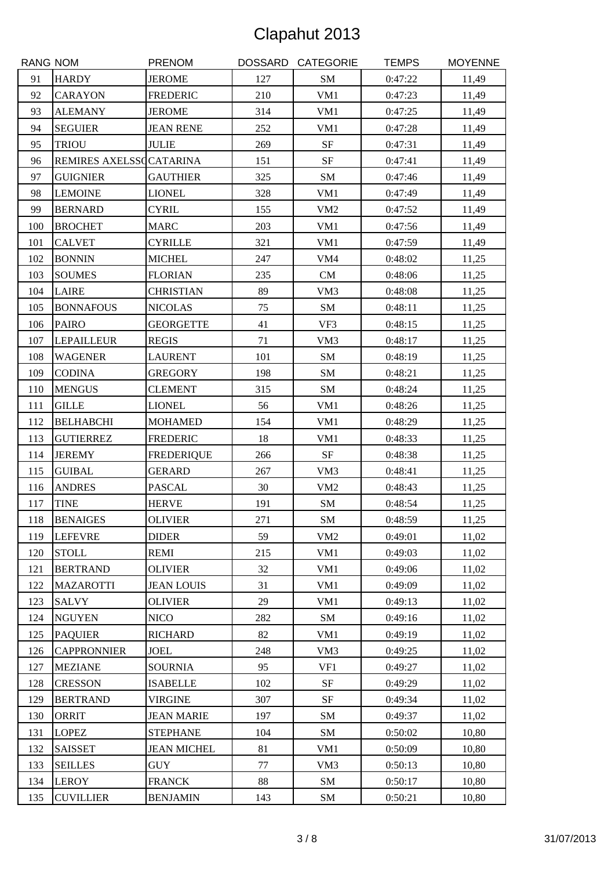| <b>RANG NOM</b> |                         | <b>PRENOM</b>      |     | DOSSARD CATEGORIE | <b>TEMPS</b> | <b>MOYENNE</b> |
|-----------------|-------------------------|--------------------|-----|-------------------|--------------|----------------|
| 91              | <b>HARDY</b>            | <b>JEROME</b>      | 127 | SM                | 0:47:22      | 11,49          |
| 92              | <b>CARAYON</b>          | <b>FREDERIC</b>    | 210 | VM1               | 0:47:23      | 11,49          |
| 93              | <b>ALEMANY</b>          | <b>JEROME</b>      | 314 | VM1               | 0:47:25      | 11,49          |
| 94              | <b>SEGUIER</b>          | <b>JEAN RENE</b>   | 252 | VM1               | 0:47:28      | 11,49          |
| 95              | <b>TRIOU</b>            | <b>JULIE</b>       | 269 | $\rm{SF}$         | 0:47:31      | 11,49          |
| 96              | REMIRES AXELSSCCATARINA |                    | 151 | $\rm{SF}$         | 0:47:41      | 11,49          |
| 97              | <b>GUIGNIER</b>         | <b>GAUTHIER</b>    | 325 | ${\bf SM}$        | 0:47:46      | 11,49          |
| 98              | <b>LEMOINE</b>          | <b>LIONEL</b>      | 328 | VM1               | 0:47:49      | 11,49          |
| 99              | <b>BERNARD</b>          | <b>CYRIL</b>       | 155 | VM <sub>2</sub>   | 0:47:52      | 11,49          |
| 100             | <b>BROCHET</b>          | <b>MARC</b>        | 203 | VM1               | 0:47:56      | 11,49          |
| 101             | <b>CALVET</b>           | <b>CYRILLE</b>     | 321 | VM1               | 0:47:59      | 11,49          |
| 102             | <b>BONNIN</b>           | <b>MICHEL</b>      | 247 | VM4               | 0:48:02      | 11,25          |
| 103             | <b>SOUMES</b>           | <b>FLORIAN</b>     | 235 | CM                | 0:48:06      | 11,25          |
| 104             | <b>LAIRE</b>            | <b>CHRISTIAN</b>   | 89  | VM3               | 0:48:08      | 11,25          |
| 105             | <b>BONNAFOUS</b>        | <b>NICOLAS</b>     | 75  | SM                | 0:48:11      | 11,25          |
| 106             | <b>PAIRO</b>            | <b>GEORGETTE</b>   | 41  | VF3               | 0:48:15      | 11,25          |
| 107             | <b>LEPAILLEUR</b>       | <b>REGIS</b>       | 71  | VM3               | 0:48:17      | 11,25          |
| 108             | <b>WAGENER</b>          | <b>LAURENT</b>     | 101 | SM                | 0:48:19      | 11,25          |
| 109             | <b>CODINA</b>           | <b>GREGORY</b>     | 198 | SM                | 0:48:21      | 11,25          |
| 110             | <b>MENGUS</b>           | <b>CLEMENT</b>     | 315 | SM                | 0:48:24      | 11,25          |
| 111             | <b>GILLE</b>            | <b>LIONEL</b>      | 56  | VM1               | 0:48:26      | 11,25          |
| 112             | <b>BELHABCHI</b>        | <b>MOHAMED</b>     | 154 | VM1               | 0:48:29      | 11,25          |
| 113             | <b>GUTIERREZ</b>        | <b>FREDERIC</b>    | 18  | VM1               | 0:48:33      | 11,25          |
| 114             | <b>JEREMY</b>           | <b>FREDERIQUE</b>  | 266 | $\rm{SF}$         | 0:48:38      | 11,25          |
| 115             | <b>GUIBAL</b>           | <b>GERARD</b>      | 267 | VM3               | 0:48:41      | 11,25          |
| 116             | <b>ANDRES</b>           | <b>PASCAL</b>      | 30  | VM <sub>2</sub>   | 0:48:43      | 11,25          |
| 117             | <b>TINE</b>             | <b>HERVE</b>       | 191 | ${\bf SM}$        | 0:48:54      | 11,25          |
| 118             | <b>BENAIGES</b>         | <b>OLIVIER</b>     | 271 | ${\rm SM}$        | 0:48:59      | 11,25          |
| 119             | <b>LEFEVRE</b>          | <b>DIDER</b>       | 59  | VM <sub>2</sub>   | 0:49:01      | 11,02          |
| 120             | <b>STOLL</b>            | <b>REMI</b>        | 215 | VM1               | 0:49:03      | 11,02          |
| 121             | <b>BERTRAND</b>         | <b>OLIVIER</b>     | 32  | VM1               | 0:49:06      | 11,02          |
| 122             | <b>MAZAROTTI</b>        | <b>JEAN LOUIS</b>  | 31  | VM1               | 0:49:09      | 11,02          |
| 123             | <b>SALVY</b>            | <b>OLIVIER</b>     | 29  | VM1               | 0:49:13      | 11,02          |
| 124             | <b>NGUYEN</b>           | <b>NICO</b>        | 282 | SM                | 0:49:16      | 11,02          |
| 125             | <b>PAQUIER</b>          | <b>RICHARD</b>     | 82  | VM1               | 0:49:19      | 11,02          |
| 126             | <b>CAPPRONNIER</b>      | <b>JOEL</b>        | 248 | VM3               | 0:49:25      | 11,02          |
| 127             | <b>MEZIANE</b>          | <b>SOURNIA</b>     | 95  | VF1               | 0:49:27      | 11,02          |
| 128             | <b>CRESSON</b>          | <b>ISABELLE</b>    | 102 | SF                | 0:49:29      | 11,02          |
| 129             | <b>BERTRAND</b>         | <b>VIRGINE</b>     | 307 | SF                | 0:49:34      | 11,02          |
| 130             | <b>ORRIT</b>            | <b>JEAN MARIE</b>  | 197 | SM                | 0:49:37      | 11,02          |
| 131             | <b>LOPEZ</b>            | <b>STEPHANE</b>    | 104 | SM                | 0:50:02      | 10,80          |
| 132             | <b>SAISSET</b>          | <b>JEAN MICHEL</b> | 81  | VM1               | 0:50:09      | 10,80          |
| 133             | <b>SEILLES</b>          | <b>GUY</b>         | 77  | VM3               | 0:50:13      | 10,80          |
| 134             | <b>LEROY</b>            | <b>FRANCK</b>      | 88  | SM                | 0:50:17      | 10,80          |
| 135             | <b>CUVILLIER</b>        | <b>BENJAMIN</b>    | 143 | SM                | 0:50:21      | 10,80          |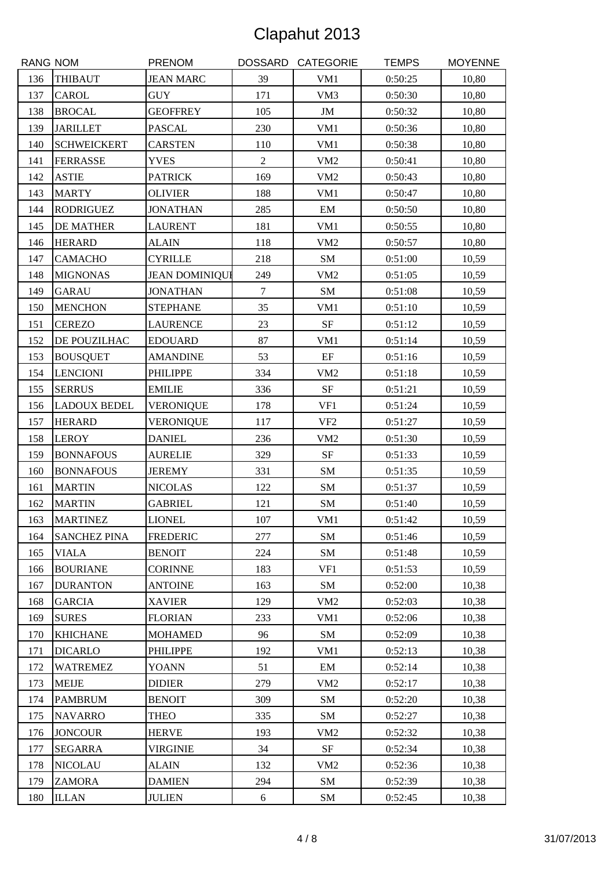| <b>RANG NOM</b> |                     | <b>PRENOM</b>         |                | DOSSARD CATEGORIE          | <b>TEMPS</b> | <b>MOYENNE</b> |
|-----------------|---------------------|-----------------------|----------------|----------------------------|--------------|----------------|
| 136             | <b>THIBAUT</b>      | <b>JEAN MARC</b>      | 39             | VM1                        | 0:50:25      | 10,80          |
| 137             | <b>CAROL</b>        | <b>GUY</b>            | 171            | VM3                        | 0:50:30      | 10,80          |
| 138             | <b>BROCAL</b>       | <b>GEOFFREY</b>       | 105            | $\mathbf{JM}$              | 0:50:32      | 10,80          |
| 139             | <b>JARILLET</b>     | <b>PASCAL</b>         | 230            | VM1                        | 0:50:36      | 10,80          |
| 140             | <b>SCHWEICKERT</b>  | <b>CARSTEN</b>        | 110            | VM1                        | 0:50:38      | 10,80          |
| 141             | <b>FERRASSE</b>     | <b>YVES</b>           | $\overline{2}$ | VM <sub>2</sub>            | 0:50:41      | 10,80          |
| 142             | <b>ASTIE</b>        | <b>PATRICK</b>        | 169            | VM2                        | 0:50:43      | 10,80          |
| 143             | <b>MARTY</b>        | <b>OLIVIER</b>        | 188            | VM1                        | 0:50:47      | 10,80          |
| 144             | <b>RODRIGUEZ</b>    | <b>JONATHAN</b>       | 285            | $\boldsymbol{\mathrm{EM}}$ | 0:50:50      | 10,80          |
| 145             | <b>DE MATHER</b>    | <b>LAURENT</b>        | 181            | VM1                        | 0:50:55      | 10,80          |
| 146             | <b>HERARD</b>       | <b>ALAIN</b>          | 118            | VM <sub>2</sub>            | 0:50:57      | 10,80          |
| 147             | <b>CAMACHO</b>      | <b>CYRILLE</b>        | 218            | ${\bf SM}$                 | 0:51:00      | 10,59          |
| 148             | <b>MIGNONAS</b>     | <b>JEAN DOMINIQUI</b> | 249            | VM <sub>2</sub>            | 0:51:05      | 10,59          |
| 149             | <b>GARAU</b>        | <b>JONATHAN</b>       | $\tau$         | SM                         | 0:51:08      | 10,59          |
| 150             | <b>MENCHON</b>      | <b>STEPHANE</b>       | 35             | VM1                        | 0:51:10      | 10,59          |
| 151             | <b>CEREZO</b>       | <b>LAURENCE</b>       | 23             | $\rm{SF}$                  | 0:51:12      | 10,59          |
| 152             | DE POUZILHAC        | <b>EDOUARD</b>        | 87             | VM1                        | 0:51:14      | 10,59          |
| 153             | <b>BOUSQUET</b>     | <b>AMANDINE</b>       | 53             | $\rm{EF}$                  | 0:51:16      | 10,59          |
| 154             | <b>LENCIONI</b>     | <b>PHILIPPE</b>       | 334            | VM <sub>2</sub>            | 0:51:18      | 10,59          |
| 155             | <b>SERRUS</b>       | <b>EMILIE</b>         | 336            | $\rm{SF}$                  | 0:51:21      | 10,59          |
| 156             | <b>LADOUX BEDEL</b> | <b>VERONIQUE</b>      | 178            | VF1                        | 0:51:24      | 10,59          |
| 157             | <b>HERARD</b>       | <b>VERONIQUE</b>      | 117            | VF <sub>2</sub>            | 0:51:27      | 10,59          |
| 158             | <b>LEROY</b>        | <b>DANIEL</b>         | 236            | VM <sub>2</sub>            | 0:51:30      | 10,59          |
| 159             | <b>BONNAFOUS</b>    | <b>AURELIE</b>        | 329            | $\rm{SF}$                  | 0:51:33      | 10,59          |
| 160             | <b>BONNAFOUS</b>    | <b>JEREMY</b>         | 331            | SM                         | 0:51:35      | 10,59          |
| 161             | <b>MARTIN</b>       | <b>NICOLAS</b>        | 122            | ${\bf SM}$                 | 0:51:37      | 10,59          |
| 162             | <b>MARTIN</b>       | <b>GABRIEL</b>        | 121            | SM                         | 0:51:40      | 10,59          |
| 163             | <b>MARTINEZ</b>     | <b>LIONEL</b>         | 107            | VM1                        | 0:51:42      | 10,59          |
| 164             | <b>SANCHEZ PINA</b> | <b>FREDERIC</b>       | 277            | SM                         | 0:51:46      | 10,59          |
| 165             | <b>VIALA</b>        | <b>BENOIT</b>         | 224            | SM                         | 0:51:48      | 10,59          |
| 166             | <b>BOURIANE</b>     | <b>CORINNE</b>        | 183            | VF1                        | 0:51:53      | 10,59          |
| 167             | <b>DURANTON</b>     | <b>ANTOINE</b>        | 163            | SM                         | 0:52:00      | 10,38          |
| 168             | <b>GARCIA</b>       | <b>XAVIER</b>         | 129            | VM <sub>2</sub>            | 0:52:03      | 10,38          |
| 169             | <b>SURES</b>        | <b>FLORIAN</b>        | 233            | VM1                        | 0:52:06      | 10,38          |
| 170             | <b>KHICHANE</b>     | <b>MOHAMED</b>        | 96             | SM                         | 0:52:09      | 10,38          |
| 171             | <b>DICARLO</b>      | <b>PHILIPPE</b>       | 192            | VM1                        | 0:52:13      | 10,38          |
| 172             | <b>WATREMEZ</b>     | <b>YOANN</b>          | 51             | EM                         | 0:52:14      | 10,38          |
| 173             | <b>MEIJE</b>        | <b>DIDIER</b>         | 279            | VM <sub>2</sub>            | 0:52:17      | 10,38          |
| 174             | <b>PAMBRUM</b>      | <b>BENOIT</b>         | 309            | SM                         | 0:52:20      | 10,38          |
| 175             | <b>NAVARRO</b>      | <b>THEO</b>           | 335            | SM                         | 0:52:27      | 10,38          |
| 176             | <b>JONCOUR</b>      | <b>HERVE</b>          | 193            | VM <sub>2</sub>            | 0:52:32      | 10,38          |
| 177             | <b>SEGARRA</b>      | <b>VIRGINIE</b>       | 34             | SF                         | 0:52:34      | 10,38          |
| 178             | <b>NICOLAU</b>      | <b>ALAIN</b>          | 132            | VM <sub>2</sub>            | 0:52:36      | 10,38          |
| 179             | ZAMORA              | <b>DAMIEN</b>         | 294            | SM                         | 0:52:39      | 10,38          |
| 180             | <b>ILLAN</b>        | <b>JULIEN</b>         | 6              | SM                         | 0:52:45      | 10,38          |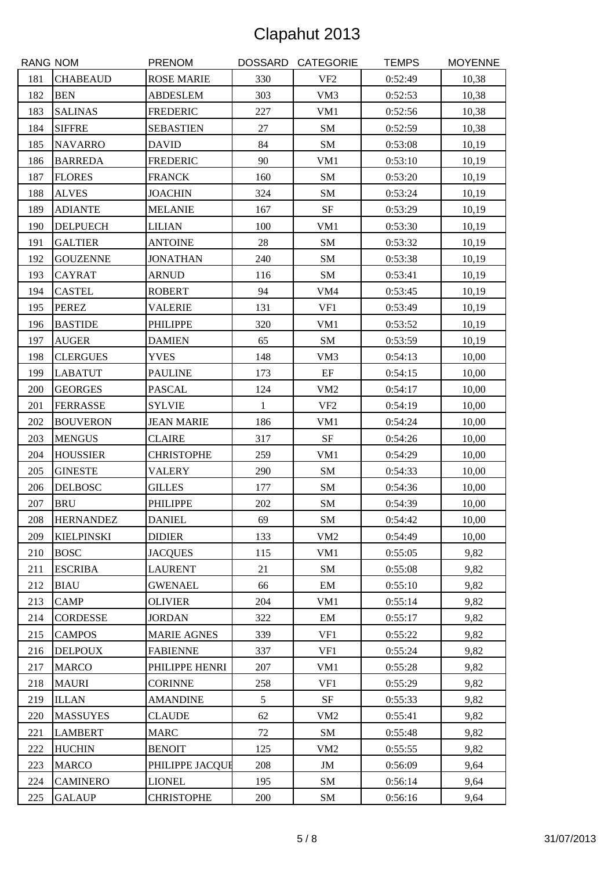| <b>RANG NOM</b> |                   | <b>PRENOM</b>      |              | DOSSARD CATEGORIE | <b>TEMPS</b> | <b>MOYENNE</b> |
|-----------------|-------------------|--------------------|--------------|-------------------|--------------|----------------|
| 181             | <b>CHABEAUD</b>   | <b>ROSE MARIE</b>  | 330          | VF <sub>2</sub>   | 0:52:49      | 10,38          |
| 182             | <b>BEN</b>        | <b>ABDESLEM</b>    | 303          | VM3               | 0:52:53      | 10,38          |
| 183             | <b>SALINAS</b>    | <b>FREDERIC</b>    | 227          | VM1               | 0:52:56      | 10,38          |
| 184             | <b>SIFFRE</b>     | <b>SEBASTIEN</b>   | 27           | SM                | 0:52:59      | 10,38          |
| 185             | <b>NAVARRO</b>    | <b>DAVID</b>       | 84           | <b>SM</b>         | 0:53:08      | 10,19          |
| 186             | <b>BARREDA</b>    | <b>FREDERIC</b>    | 90           | VM1               | 0:53:10      | 10,19          |
| 187             | <b>FLORES</b>     | <b>FRANCK</b>      | 160          | SM                | 0:53:20      | 10,19          |
| 188             | <b>ALVES</b>      | <b>JOACHIN</b>     | 324          | SM                | 0:53:24      | 10,19          |
| 189             | <b>ADIANTE</b>    | <b>MELANIE</b>     | 167          | $\rm{SF}$         | 0:53:29      | 10,19          |
| 190             | <b>DELPUECH</b>   | <b>LILIAN</b>      | 100          | VM1               | 0:53:30      | 10,19          |
| 191             | <b>GALTIER</b>    | <b>ANTOINE</b>     | 28           | SM                | 0:53:32      | 10,19          |
| 192             | <b>GOUZENNE</b>   | <b>JONATHAN</b>    | 240          | SM                | 0:53:38      | 10,19          |
| 193             | <b>CAYRAT</b>     | <b>ARNUD</b>       | 116          | SM                | 0:53:41      | 10,19          |
| 194             | <b>CASTEL</b>     | <b>ROBERT</b>      | 94           | VM <sub>4</sub>   | 0:53:45      | 10,19          |
| 195             | <b>PEREZ</b>      | <b>VALERIE</b>     | 131          | VF1               | 0:53:49      | 10,19          |
| 196             | <b>BASTIDE</b>    | <b>PHILIPPE</b>    | 320          | VM1               | 0:53:52      | 10,19          |
| 197             | <b>AUGER</b>      | <b>DAMIEN</b>      | 65           | SM                | 0:53:59      | 10,19          |
| 198             | <b>CLERGUES</b>   | <b>YVES</b>        | 148          | VM3               | 0:54:13      | 10,00          |
| 199             | <b>LABATUT</b>    | <b>PAULINE</b>     | 173          | $\rm EF$          | 0:54:15      | 10,00          |
| 200             | <b>GEORGES</b>    | <b>PASCAL</b>      | 124          | VM <sub>2</sub>   | 0:54:17      | 10,00          |
| 201             | <b>FERRASSE</b>   | <b>SYLVIE</b>      | $\mathbf{1}$ | VF <sub>2</sub>   | 0:54:19      | 10,00          |
| 202             | <b>BOUVERON</b>   | <b>JEAN MARIE</b>  | 186          | VM1               | 0:54:24      | 10,00          |
| 203             | <b>MENGUS</b>     | <b>CLAIRE</b>      | 317          | $\rm{SF}$         | 0:54:26      | 10,00          |
| 204             | <b>HOUSSIER</b>   | <b>CHRISTOPHE</b>  | 259          | VM1               | 0:54:29      | 10,00          |
| 205             | <b>GINESTE</b>    | <b>VALERY</b>      | 290          | SM                | 0:54:33      | 10,00          |
| 206             | <b>DELBOSC</b>    | <b>GILLES</b>      | 177          | ${\bf SM}$        | 0:54:36      | 10,00          |
| 207             | <b>BRU</b>        | <b>PHILIPPE</b>    | 202          | SM                | 0:54:39      | 10,00          |
| 208             | <b>HERNANDEZ</b>  | <b>DANIEL</b>      | 69           | ${\rm SM}$        | 0:54:42      | 10,00          |
| 209             | <b>KIELPINSKI</b> | <b>DIDIER</b>      | 133          | VM <sub>2</sub>   | 0:54:49      | 10,00          |
| 210             | <b>BOSC</b>       | <b>JACQUES</b>     | 115          | VM1               | 0:55:05      | 9,82           |
| 211             | <b>ESCRIBA</b>    | <b>LAURENT</b>     | 21           | SM                | 0:55:08      | 9,82           |
| 212             | <b>BIAU</b>       | <b>GWENAEL</b>     | 66           | EM                | 0:55:10      | 9,82           |
| 213             | <b>CAMP</b>       | <b>OLIVIER</b>     | 204          | VM1               | 0:55:14      | 9,82           |
| 214             | <b>CORDESSE</b>   | <b>JORDAN</b>      | 322          | EM                | 0:55:17      | 9,82           |
| 215             | <b>CAMPOS</b>     | <b>MARIE AGNES</b> | 339          | VF1               | 0:55:22      | 9,82           |
| 216             | <b>DELPOUX</b>    | <b>FABIENNE</b>    | 337          | VF1               | 0:55:24      | 9,82           |
| 217             | <b>MARCO</b>      | PHILIPPE HENRI     | 207          | VM1               | 0:55:28      | 9,82           |
| 218             | <b>MAURI</b>      | <b>CORINNE</b>     | 258          | VF1               | 0:55:29      | 9,82           |
| 219             | <b>ILLAN</b>      | <b>AMANDINE</b>    | 5            | SF                | 0:55:33      | 9,82           |
| 220             | <b>MASSUYES</b>   | <b>CLAUDE</b>      | 62           | VM <sub>2</sub>   | 0:55:41      | 9,82           |
| 221             | <b>LAMBERT</b>    | <b>MARC</b>        | 72           | SM                | 0:55:48      | 9,82           |
| 222             | <b>HUCHIN</b>     | <b>BENOIT</b>      | 125          | VM <sub>2</sub>   | 0:55:55      | 9,82           |
| 223             | <b>MARCO</b>      | PHILIPPE JACQUE    | 208          | JM                | 0:56:09      | 9,64           |
| 224             | <b>CAMINERO</b>   | <b>LIONEL</b>      | 195          | SM                | 0:56:14      | 9,64           |
| 225             | <b>GALAUP</b>     | <b>CHRISTOPHE</b>  | 200          | SM                | 0:56:16      | 9,64           |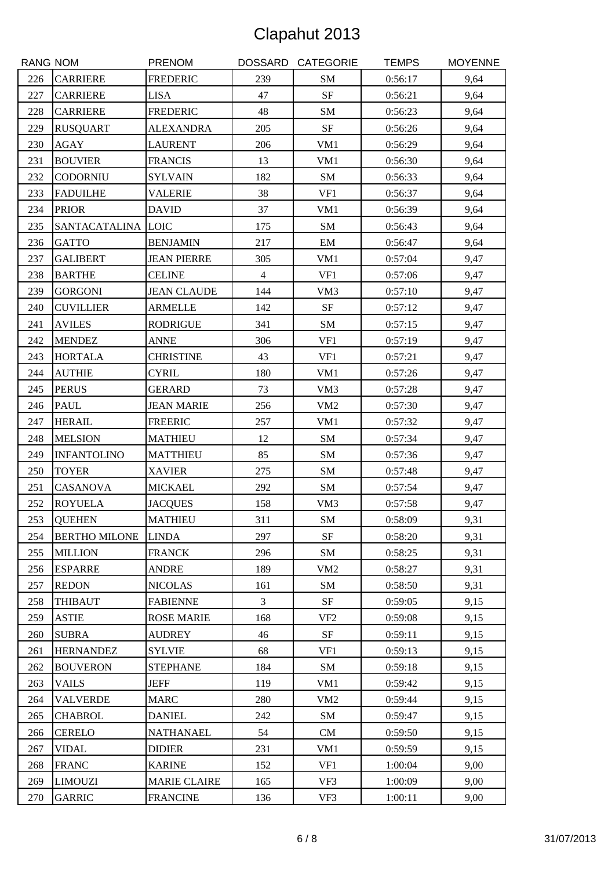| <b>RANG NOM</b> |                      | <b>PRENOM</b>       |                | DOSSARD CATEGORIE          | <b>TEMPS</b> | <b>MOYENNE</b> |
|-----------------|----------------------|---------------------|----------------|----------------------------|--------------|----------------|
| 226             | <b>CARRIERE</b>      | <b>FREDERIC</b>     | 239            | SM                         | 0:56:17      | 9,64           |
| 227             | <b>CARRIERE</b>      | <b>LISA</b>         | 47             | $\rm{SF}$                  | 0:56:21      | 9,64           |
| 228             | <b>CARRIERE</b>      | <b>FREDERIC</b>     | 48             | SM                         | 0:56:23      | 9,64           |
| 229             | <b>RUSQUART</b>      | <b>ALEXANDRA</b>    | 205            | $\rm{SF}$                  | 0:56:26      | 9,64           |
| 230             | <b>AGAY</b>          | <b>LAURENT</b>      | 206            | VM1                        | 0:56:29      | 9,64           |
| 231             | <b>BOUVIER</b>       | <b>FRANCIS</b>      | 13             | VM1                        | 0:56:30      | 9,64           |
| 232             | <b>CODORNIU</b>      | <b>SYLVAIN</b>      | 182            | ${\bf SM}$                 | 0:56:33      | 9,64           |
| 233             | <b>FADUILHE</b>      | <b>VALERIE</b>      | 38             | VF1                        | 0:56:37      | 9,64           |
| 234             | <b>PRIOR</b>         | <b>DAVID</b>        | 37             | VM1                        | 0:56:39      | 9,64           |
| 235             | SANTACATALINA LOIC   |                     | 175            | SM                         | 0:56:43      | 9,64           |
| 236             | <b>GATTO</b>         | <b>BENJAMIN</b>     | 217            | $\boldsymbol{\mathrm{EM}}$ | 0:56:47      | 9,64           |
| 237             | <b>GALIBERT</b>      | <b>JEAN PIERRE</b>  | 305            | VM1                        | 0:57:04      | 9,47           |
| 238             | <b>BARTHE</b>        | <b>CELINE</b>       | $\overline{4}$ | VF1                        | 0:57:06      | 9,47           |
| 239             | <b>GORGONI</b>       | <b>JEAN CLAUDE</b>  | 144            | VM3                        | 0:57:10      | 9,47           |
| 240             | <b>CUVILLIER</b>     | <b>ARMELLE</b>      | 142            | $\rm{SF}$                  | 0:57:12      | 9,47           |
| 241             | <b>AVILES</b>        | <b>RODRIGUE</b>     | 341            | SM                         | 0:57:15      | 9,47           |
| 242             | <b>MENDEZ</b>        | <b>ANNE</b>         | 306            | VF1                        | 0:57:19      | 9,47           |
| 243             | <b>HORTALA</b>       | <b>CHRISTINE</b>    | 43             | VF1                        | 0:57:21      | 9,47           |
| 244             | <b>AUTHIE</b>        | <b>CYRIL</b>        | 180            | VM1                        | 0:57:26      | 9,47           |
| 245             | <b>PERUS</b>         | <b>GERARD</b>       | 73             | VM3                        | 0:57:28      | 9,47           |
| 246             | <b>PAUL</b>          | <b>JEAN MARIE</b>   | 256            | VM <sub>2</sub>            | 0:57:30      | 9,47           |
| 247             | <b>HERAIL</b>        | <b>FREERIC</b>      | 257            | VM1                        | 0:57:32      | 9,47           |
| 248             | <b>MELSION</b>       | <b>MATHIEU</b>      | 12             | SM                         | 0:57:34      | 9,47           |
| 249             | <b>INFANTOLINO</b>   | <b>MATTHIEU</b>     | 85             | SM                         | 0:57:36      | 9,47           |
| 250             | <b>TOYER</b>         | <b>XAVIER</b>       | 275            | SM                         | 0:57:48      | 9,47           |
| 251             | <b>CASANOVA</b>      | <b>MICKAEL</b>      | 292            | ${\bf SM}$                 | 0:57:54      | 9,47           |
| 252             | <b>ROYUELA</b>       | <b>JACQUES</b>      | 158            | VM3                        | 0:57:58      | 9,47           |
| 253             | <b>QUEHEN</b>        | <b>MATHIEU</b>      | 311            | ${\bf SM}$                 | 0:58:09      | 9,31           |
| 254             | <b>BERTHO MILONE</b> | <b>LINDA</b>        | 297            | <b>SF</b>                  | 0:58:20      | 9,31           |
| 255             | <b>MILLION</b>       | <b>FRANCK</b>       | 296            | SM                         | 0:58:25      | 9,31           |
| 256             | <b>ESPARRE</b>       | <b>ANDRE</b>        | 189            | VM <sub>2</sub>            | 0:58:27      | 9,31           |
| 257             | <b>REDON</b>         | <b>NICOLAS</b>      | 161            | SM                         | 0:58:50      | 9,31           |
| 258             | <b>THIBAUT</b>       | <b>FABIENNE</b>     | 3              | <b>SF</b>                  | 0:59:05      | 9,15           |
| 259             | <b>ASTIE</b>         | <b>ROSE MARIE</b>   | 168            | VF <sub>2</sub>            | 0:59:08      | 9,15           |
| 260             | <b>SUBRA</b>         | <b>AUDREY</b>       | 46             | SF                         | 0:59:11      | 9,15           |
| 261             | <b>HERNANDEZ</b>     | <b>SYLVIE</b>       | 68             | VF1                        | 0:59:13      | 9,15           |
| 262             | <b>BOUVERON</b>      | <b>STEPHANE</b>     | 184            | SM                         | 0:59:18      | 9,15           |
| 263             | <b>VAILS</b>         | <b>JEFF</b>         | 119            | VM1                        | 0:59:42      | 9,15           |
| 264             | <b>VALVERDE</b>      | <b>MARC</b>         | 280            | VM <sub>2</sub>            | 0:59:44      | 9,15           |
| 265             | <b>CHABROL</b>       | <b>DANIEL</b>       | 242            | SM                         | 0:59:47      | 9,15           |
| 266             | <b>CERELO</b>        | <b>NATHANAEL</b>    | 54             | CM                         | 0:59:50      | 9,15           |
| 267             | <b>VIDAL</b>         | <b>DIDIER</b>       | 231            | VM1                        | 0:59:59      | 9,15           |
| 268             | <b>FRANC</b>         | <b>KARINE</b>       | 152            | VF1                        | 1:00:04      | 9,00           |
| 269             | <b>LIMOUZI</b>       | <b>MARIE CLAIRE</b> | 165            | VF3                        | 1:00:09      | 9,00           |
| 270             | <b>GARRIC</b>        | <b>FRANCINE</b>     | 136            | VF3                        | 1:00:11      | 9,00           |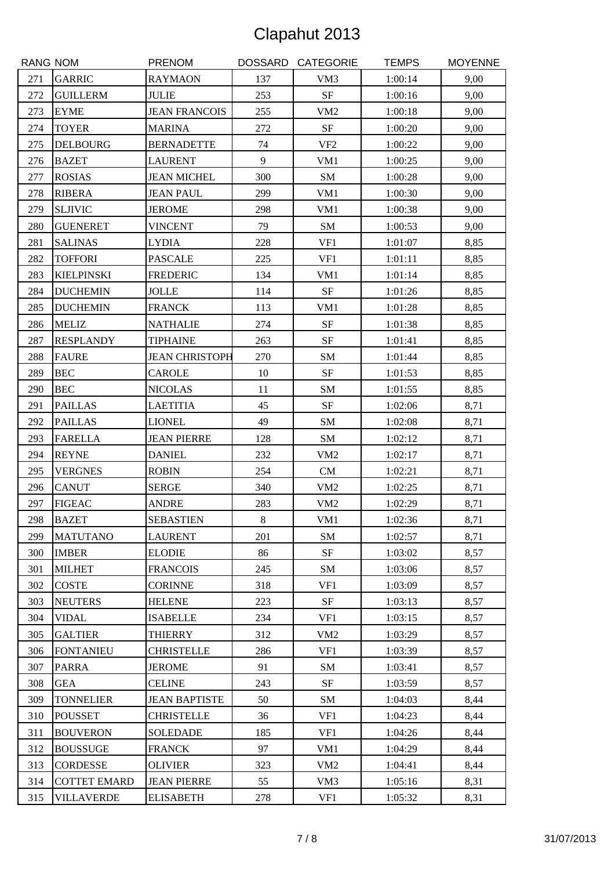| <b>RANG NOM</b> |                     | <b>PRENOM</b>         |     | DOSSARD CATEGORIE | <b>TEMPS</b> | <b>MOYENNE</b> |
|-----------------|---------------------|-----------------------|-----|-------------------|--------------|----------------|
| 271             | <b>GARRIC</b>       | <b>RAYMAON</b>        | 137 | VM3               | 1:00:14      | 9,00           |
| 272             | <b>GUILLERM</b>     | <b>JULIE</b>          | 253 | $\rm{SF}$         | 1:00:16      | 9,00           |
| 273             | <b>EYME</b>         | <b>JEAN FRANCOIS</b>  | 255 | VM <sub>2</sub>   | 1:00:18      | 9,00           |
| 274             | <b>TOYER</b>        | <b>MARINA</b>         | 272 | <b>SF</b>         | 1:00:20      | 9,00           |
| 275             | <b>DELBOURG</b>     | <b>BERNADETTE</b>     | 74  | VF <sub>2</sub>   | 1:00:22      | 9,00           |
| 276             | <b>BAZET</b>        | <b>LAURENT</b>        | 9   | VM1               | 1:00:25      | 9,00           |
| 277             | <b>ROSIAS</b>       | <b>JEAN MICHEL</b>    | 300 | ${\bf SM}$        | 1:00:28      | 9,00           |
| 278             | <b>RIBERA</b>       | <b>JEAN PAUL</b>      | 299 | VM1               | 1:00:30      | 9,00           |
| 279             | <b>SLJIVIC</b>      | <b>JEROME</b>         | 298 | VM1               | 1:00:38      | 9,00           |
| 280             | <b>GUENERET</b>     | <b>VINCENT</b>        | 79  | ${\bf SM}$        | 1:00:53      | 9,00           |
| 281             | <b>SALINAS</b>      | <b>LYDIA</b>          | 228 | VF1               | 1:01:07      | 8,85           |
| 282             | <b>TOFFORI</b>      | <b>PASCALE</b>        | 225 | VF1               | 1:01:11      | 8,85           |
| 283             | <b>KIELPINSKI</b>   | <b>FREDERIC</b>       | 134 | VM1               | 1:01:14      | 8,85           |
| 284             | <b>DUCHEMIN</b>     | <b>JOLLE</b>          | 114 | $\rm{SF}$         | 1:01:26      | 8,85           |
| 285             | <b>DUCHEMIN</b>     | <b>FRANCK</b>         | 113 | VM1               | 1:01:28      | 8,85           |
| 286             | <b>MELIZ</b>        | <b>NATHALIE</b>       | 274 | $\rm{SF}$         | 1:01:38      | 8,85           |
| 287             | <b>RESPLANDY</b>    | <b>TIPHAINE</b>       | 263 | SF                | 1:01:41      | 8,85           |
| 288             | <b>FAURE</b>        | <b>JEAN CHRISTOPH</b> | 270 | SM                | 1:01:44      | 8,85           |
| 289             | <b>BEC</b>          | <b>CAROLE</b>         | 10  | SF                | 1:01:53      | 8,85           |
| 290             | <b>BEC</b>          | <b>NICOLAS</b>        | 11  | SM                | 1:01:55      | 8,85           |
| 291             | <b>PAILLAS</b>      | <b>LAETITIA</b>       | 45  | <b>SF</b>         | 1:02:06      | 8,71           |
| 292             | <b>PAILLAS</b>      | <b>LIONEL</b>         | 49  | SM                | 1:02:08      | 8,71           |
| 293             | <b>FARELLA</b>      | <b>JEAN PIERRE</b>    | 128 | SM                | 1:02:12      | 8,71           |
| 294             | <b>REYNE</b>        | <b>DANIEL</b>         | 232 | VM <sub>2</sub>   | 1:02:17      | 8,71           |
| 295             | <b>VERGNES</b>      | <b>ROBIN</b>          | 254 | CM                | 1:02:21      | 8,71           |
| 296             | <b>CANUT</b>        | <b>SERGE</b>          | 340 | VM2               | 1:02:25      | 8,71           |
| 297             | <b>FIGEAC</b>       | <b>ANDRE</b>          | 283 | VM <sub>2</sub>   | 1:02:29      | 8,71           |
| 298             | <b>BAZET</b>        | <b>SEBASTIEN</b>      | 8   | VM1               | 1:02:36      | 8,71           |
| 299             | <b>MATUTANO</b>     | <b>LAURENT</b>        | 201 | SM                | 1:02:57      | 8,71           |
| 300             | <b>IMBER</b>        | <b>ELODIE</b>         | 86  | SF                | 1:03:02      | 8,57           |
| 301             | <b>MILHET</b>       | <b>FRANCOIS</b>       | 245 | SM                | 1:03:06      | 8,57           |
| 302             | <b>COSTE</b>        | <b>CORINNE</b>        | 318 | VF1               | 1:03:09      | 8,57           |
| 303             | <b>NEUTERS</b>      | <b>HELENE</b>         | 223 | SF                | 1:03:13      | 8,57           |
| 304             | <b>VIDAL</b>        | <b>ISABELLE</b>       | 234 | VF1               | 1:03:15      | 8,57           |
| 305             | <b>GALTIER</b>      | <b>THIERRY</b>        | 312 | VM <sub>2</sub>   | 1:03:29      | 8,57           |
| 306             | <b>FONTANIEU</b>    | <b>CHRISTELLE</b>     | 286 | VF1               | 1:03:39      | 8,57           |
| 307             | <b>PARRA</b>        | <b>JEROME</b>         | 91  | SM                | 1:03:41      | 8,57           |
| 308             | <b>GEA</b>          | <b>CELINE</b>         | 243 | SF                | 1:03:59      | 8,57           |
| 309             | <b>TONNELIER</b>    | <b>JEAN BAPTISTE</b>  | 50  | SM                | 1:04:03      | 8,44           |
| 310             | <b>POUSSET</b>      | <b>CHRISTELLE</b>     | 36  | VF1               | 1:04:23      | 8,44           |
| 311             | <b>BOUVERON</b>     | <b>SOLEDADE</b>       | 185 | VF1               | 1:04:26      | 8,44           |
| 312             | <b>BOUSSUGE</b>     | <b>FRANCK</b>         | 97  | VM1               | 1:04:29      | 8,44           |
| 313             | <b>CORDESSE</b>     | <b>OLIVIER</b>        | 323 | VM <sub>2</sub>   | 1:04:41      | 8,44           |
| 314             | <b>COTTET EMARD</b> | <b>JEAN PIERRE</b>    | 55  | VM3               | 1:05:16      | 8,31           |
| 315             | <b>VILLAVERDE</b>   | <b>ELISABETH</b>      | 278 | VF1               | 1:05:32      | 8,31           |